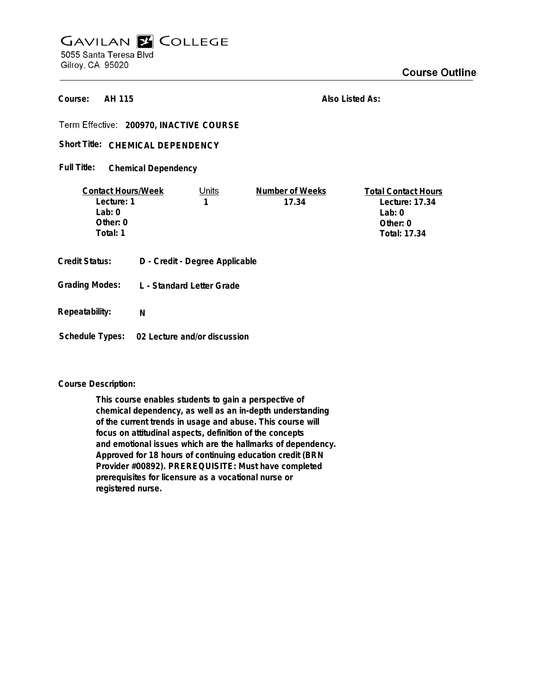# **GAVILAN E COLLEGE** 5055 Santa Teresa Blvd Gilroy, CA 95020

**AH 115 Course:**

**Also Listed As:**

**200970, INACTIVE COURSE**

## Short Title: CHEMICAL DEPENDENCY

#### **Chemical Dependency Full Title:**

| <b>Contact Hours/Week</b>                      |   | Units                                                       | Number of Weeks | <b>Total Contact Hours</b> |
|------------------------------------------------|---|-------------------------------------------------------------|-----------------|----------------------------|
| Lecture: 1                                     |   | 1                                                           | 17.34           | Lecture: 17.34             |
| Lab: $0$                                       |   |                                                             |                 | Lab: $0$                   |
| Other: 0                                       |   |                                                             |                 | Other: $0$                 |
| Total: 1                                       |   |                                                             |                 | Total: 17.34               |
| <b>Credit Status:</b><br><b>Grading Modes:</b> |   | D - Credit - Degree Applicable<br>L - Standard Letter Grade |                 |                            |
|                                                |   |                                                             |                 |                            |
| Repeatability:                                 | N |                                                             |                 |                            |

# **Schedule Types: 02 Lecture and/or discussion**

#### **Course Description:**

**This course enables students to gain a perspective of chemical dependency, as well as an in-depth understanding of the current trends in usage and abuse. This course will focus on attitudinal aspects, definition of the concepts and emotional issues which are the hallmarks of dependency. Approved for 18 hours of continuing education credit (BRN Provider #00892). PREREQUISITE: Must have completed prerequisites for licensure as a vocational nurse or registered nurse.**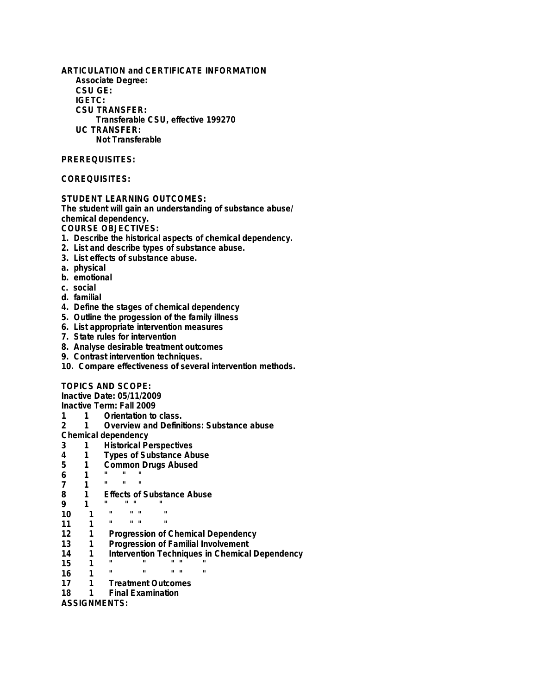**ARTICULATION and CERTIFICATE INFORMATION Associate Degree: CSU GE: IGETC: CSU TRANSFER: Transferable CSU, effective 199270 UC TRANSFER: Not Transferable**

### **PREREQUISITES:**

#### **COREQUISITES:**

#### **STUDENT LEARNING OUTCOMES:**

**The student will gain an understanding of substance abuse/ chemical dependency.**

**COURSE OBJECTIVES:**

- **1. Describe the historical aspects of chemical dependency.**
- **2. List and describe types of substance abuse.**
- **3. List effects of substance abuse.**
- **a. physical**
- **b. emotional**
- **c. social**
- **d. familial**
- **4. Define the stages of chemical dependency**
- **5. Outline the progession of the family illness**
- **6. List appropriate intervention measures**
- **7. State rules for intervention**
- **8. Analyse desirable treatment outcomes**
- **9. Contrast intervention techniques.**
- **10. Compare effectiveness of several intervention methods.**

#### **TOPICS AND SCOPE:**

**Inactive Date: 05/11/2009**

**Inactive Term: Fall 2009**

- **1 1 Orientation to class.**
- **2 1 Overview and Definitions: Substance abuse**

**Chemical dependency**

- **3 1 Historical Perspectives**
- **4 1 Types of Substance Abuse**
- **5 1 Common Drugs Abused**
- **6 1 " " "**
- **7 1 " " "**
- **8 1 Effects of Substance Abuse**
- **9 1 " " " "**
- **10 1 " " " "**
- **11 1 " " " "**
- **12 1 Progression of Chemical Dependency**
- **13 1 Progression of Familial Involvement**
- **14 1 Intervention Techniques in Chemical Dependency**
- **15 1 " " " " "**
- **16 1 " " " " "**
- **17 1 Treatment Outcomes**
- **Final Examination**

**ASSIGNMENTS:**